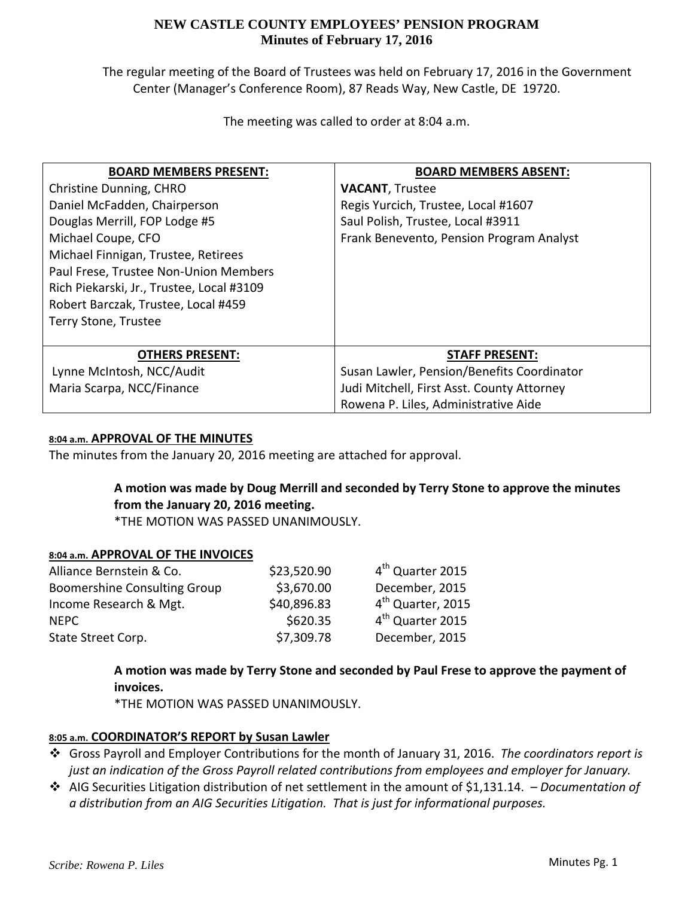## **NEW CASTLE COUNTY EMPLOYEES' PENSION PROGRAM Minutes of February 17, 2016**

The regular meeting of the Board of Trustees was held on February 17, 2016 in the Government Center (Manager's Conference Room), 87 Reads Way, New Castle, DE 19720.

The meeting was called to order at 8:04 a.m.

| <b>BOARD MEMBERS PRESENT:</b>             | <b>BOARD MEMBERS ABSENT:</b>               |  |  |
|-------------------------------------------|--------------------------------------------|--|--|
| Christine Dunning, CHRO                   | <b>VACANT, Trustee</b>                     |  |  |
| Daniel McFadden, Chairperson              | Regis Yurcich, Trustee, Local #1607        |  |  |
| Douglas Merrill, FOP Lodge #5             | Saul Polish, Trustee, Local #3911          |  |  |
| Michael Coupe, CFO                        | Frank Benevento, Pension Program Analyst   |  |  |
| Michael Finnigan, Trustee, Retirees       |                                            |  |  |
| Paul Frese, Trustee Non-Union Members     |                                            |  |  |
| Rich Piekarski, Jr., Trustee, Local #3109 |                                            |  |  |
| Robert Barczak, Trustee, Local #459       |                                            |  |  |
| Terry Stone, Trustee                      |                                            |  |  |
|                                           |                                            |  |  |
| <b>OTHERS PRESENT:</b>                    | <b>STAFF PRESENT:</b>                      |  |  |
| Lynne McIntosh, NCC/Audit                 | Susan Lawler, Pension/Benefits Coordinator |  |  |
| Maria Scarpa, NCC/Finance                 | Judi Mitchell, First Asst. County Attorney |  |  |
|                                           | Rowena P. Liles, Administrative Aide       |  |  |

#### **8:04 a.m. APPROVAL OF THE MINUTES**

The minutes from the January 20, 2016 meeting are attached for approval.

# **A motion was made by Doug Merrill and seconded by Terry Stone to approve the minutes from the January 20, 2016 meeting.**

\*THE MOTION WAS PASSED UNANIMOUSLY.

### **8:04 a.m. APPROVAL OF THE INVOICES**

| Alliance Bernstein & Co.            | \$23,520.90 | 4 <sup>th</sup> Quarter 2015  |
|-------------------------------------|-------------|-------------------------------|
| <b>Boomershine Consulting Group</b> | \$3,670.00  | December, 2015                |
| Income Research & Mgt.              | \$40,896.83 | 4 <sup>th</sup> Quarter, 2015 |
| <b>NFPC</b>                         | \$620.35    | 4 <sup>th</sup> Quarter 2015  |
| State Street Corp.                  | \$7,309.78  | December, 2015                |

**A motion was made by Terry Stone and seconded by Paul Frese to approve the payment of invoices.**

\*THE MOTION WAS PASSED UNANIMOUSLY.

### **8:05 a.m. COORDINATOR'S REPORT by Susan Lawler**

- Gross Payroll and Employer Contributions for the month of January 31, 2016. *The coordinators report is just an indication of the Gross Payroll related contributions from employees and employer for January.*
- AIG Securities Litigation distribution of net settlement in the amount of \$1,131.14. *– Documentation of a distribution from an AIG Securities Litigation. That is just for informational purposes.*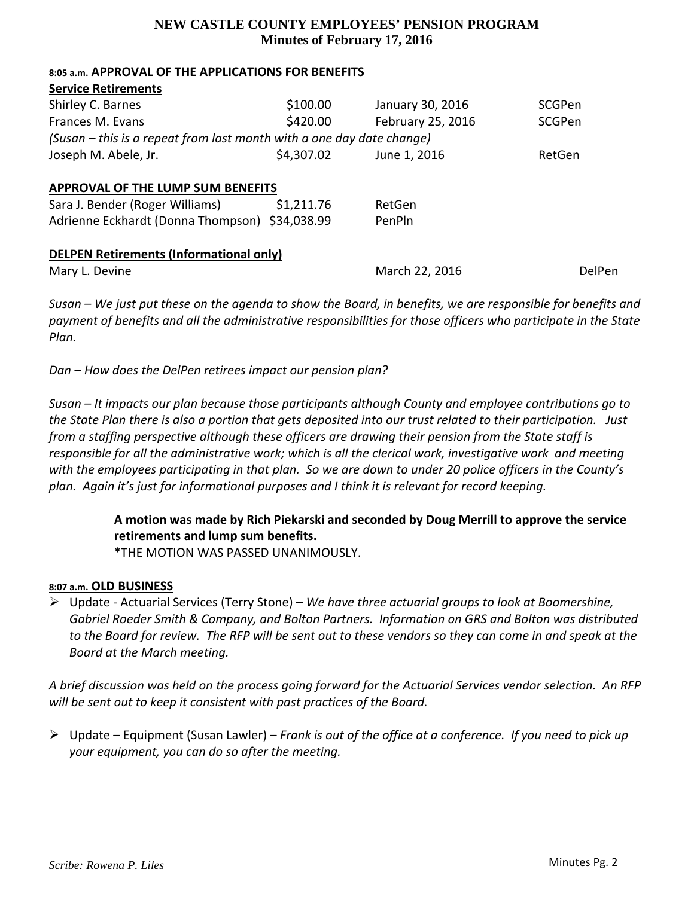## **NEW CASTLE COUNTY EMPLOYEES' PENSION PROGRAM Minutes of February 17, 2016**

#### **8:05 a.m. APPROVAL OF THE APPLICATIONS FOR BENEFITS**

| <b>Service Retirements</b>                                            |            |                   |        |
|-----------------------------------------------------------------------|------------|-------------------|--------|
| Shirley C. Barnes                                                     | \$100.00   | January 30, 2016  | SCGPen |
| Frances M. Evans                                                      | \$420.00   | February 25, 2016 | SCGPen |
| (Susan – this is a repeat from last month with a one day date change) |            |                   |        |
| Joseph M. Abele, Jr.                                                  | \$4,307.02 | June 1, 2016      | RetGen |
| <b>APPROVAL OF THE LUMP SUM BENEFITS</b>                              |            |                   |        |
| Sara J. Bender (Roger Williams)                                       | \$1,211.76 | RetGen            |        |
| Adrienne Eckhardt (Donna Thompson) \$34,038.99                        |            | PenPln            |        |
| <b>DELPEN Retirements (Informational only)</b>                        |            |                   |        |
| Mary L. Devine                                                        |            | March 22, 2016    | DelPen |

Susan – We just put these on the agenda to show the Board, in benefits, we are responsible for benefits and *payment of benefits and all the administrative responsibilities for those officers who participate in the State Plan.*

*Dan – How does the DelPen retirees impact our pension plan?*

*Susan – It impacts our plan because those participants although County and employee contributions go to* the State Plan there is also a portion that gets deposited into our trust related to their participation. Just *from a staffing perspective although these officers are drawing their pension from the State staff is* responsible for all the administrative work; which is all the clerical work, investigative work and meeting with the employees participating in that plan. So we are down to under 20 police officers in the County's *plan. Again it's just for informational purposes and I think it is relevant for record keeping.*

> **A motion was made by Rich Piekarski and seconded by Doug Merrill to approve the service retirements and lump sum benefits.**

\*THE MOTION WAS PASSED UNANIMOUSLY.

### **8:07 a.m. OLD BUSINESS**

 Update ‐ Actuarial Services (Terry Stone) – *We have three actuarial groups to look at Boomershine, Gabriel Roeder Smith & Company, and Bolton Partners. Information on GRS and Bolton was distributed* to the Board for review. The RFP will be sent out to these vendors so they can come in and speak at the *Board at the March meeting.* 

A brief discussion was held on the process going forward for the Actuarial Services vendor selection. An RFP *will be sent out to keep it consistent with past practices of the Board.*

 Update – Equipment (Susan Lawler) – *Frank is out of the office at a conference. If you need to pick up your equipment, you can do so after the meeting.*